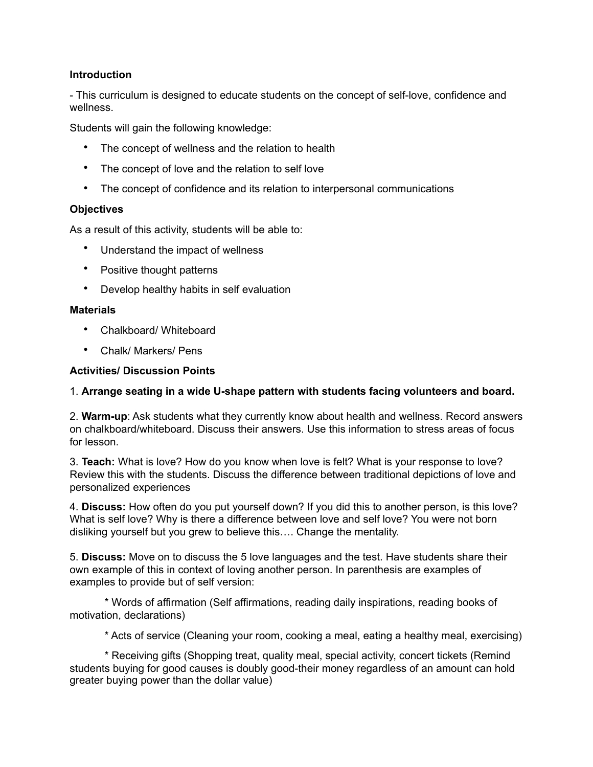# **Introduction**

- This curriculum is designed to educate students on the concept of self-love, confidence and wellness.

Students will gain the following knowledge:

- The concept of wellness and the relation to health
- The concept of love and the relation to self love
- The concept of confidence and its relation to interpersonal communications

### **Objectives**

As a result of this activity, students will be able to:

- Understand the impact of wellness
- Positive thought patterns
- Develop healthy habits in self evaluation

### **Materials**

- Chalkboard/ Whiteboard
- Chalk/ Markers/ Pens

## **Activities/ Discussion Points**

## 1. **Arrange seating in a wide U-shape pattern with students facing volunteers and board.**

2. **Warm-up**: Ask students what they currently know about health and wellness. Record answers on chalkboard/whiteboard. Discuss their answers. Use this information to stress areas of focus for lesson.

3. **Teach:** What is love? How do you know when love is felt? What is your response to love? Review this with the students. Discuss the difference between traditional depictions of love and personalized experiences

4. **Discuss:** How often do you put yourself down? If you did this to another person, is this love? What is self love? Why is there a difference between love and self love? You were not born disliking yourself but you grew to believe this…. Change the mentality.

5. **Discuss:** Move on to discuss the 5 love languages and the test. Have students share their own example of this in context of loving another person. In parenthesis are examples of examples to provide but of self version:

 \* Words of affirmation (Self affirmations, reading daily inspirations, reading books of motivation, declarations)

\* Acts of service (Cleaning your room, cooking a meal, eating a healthy meal, exercising)

 \* Receiving gifts (Shopping treat, quality meal, special activity, concert tickets (Remind students buying for good causes is doubly good-their money regardless of an amount can hold greater buying power than the dollar value)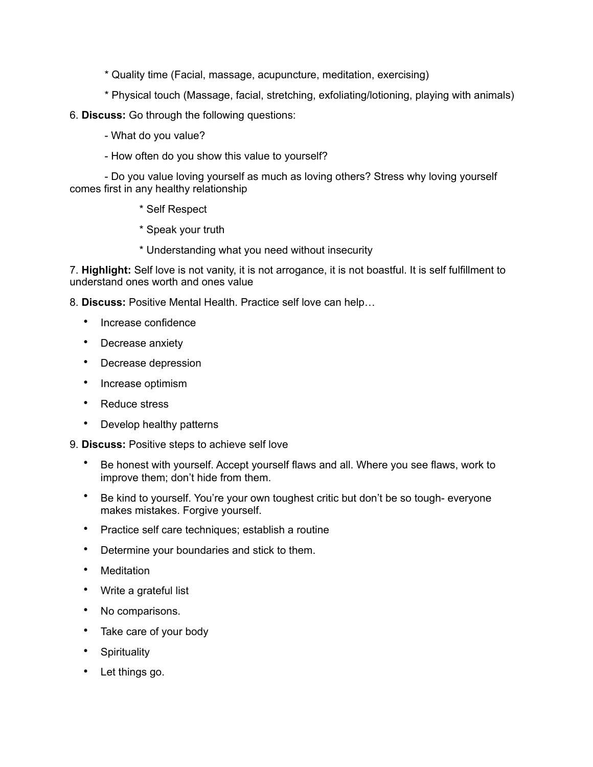- \* Quality time (Facial, massage, acupuncture, meditation, exercising)
- \* Physical touch (Massage, facial, stretching, exfoliating/lotioning, playing with animals)
- 6. **Discuss:** Go through the following questions:
	- What do you value?
	- How often do you show this value to yourself?

 - Do you value loving yourself as much as loving others? Stress why loving yourself comes first in any healthy relationship

- \* Self Respect
- \* Speak your truth
- \* Understanding what you need without insecurity

7. **Highlight:** Self love is not vanity, it is not arrogance, it is not boastful. It is self fulfillment to understand ones worth and ones value

8. **Discuss:** Positive Mental Health. Practice self love can help…

- Increase confidence
- Decrease anxiety
- Decrease depression
- Increase optimism
- Reduce stress
- Develop healthy patterns
- 9. **Discuss:** Positive steps to achieve self love
	- Be honest with yourself. Accept yourself flaws and all. Where you see flaws, work to improve them; don't hide from them.
	- Be kind to yourself. You're your own toughest critic but don't be so tough- everyone makes mistakes. Forgive yourself.
	- Practice self care techniques; establish a routine
	- Determine your boundaries and stick to them.
	- **Meditation**
	- Write a grateful list
	- No comparisons.
	- Take care of your body
	- **Spirituality**
	- Let things go.